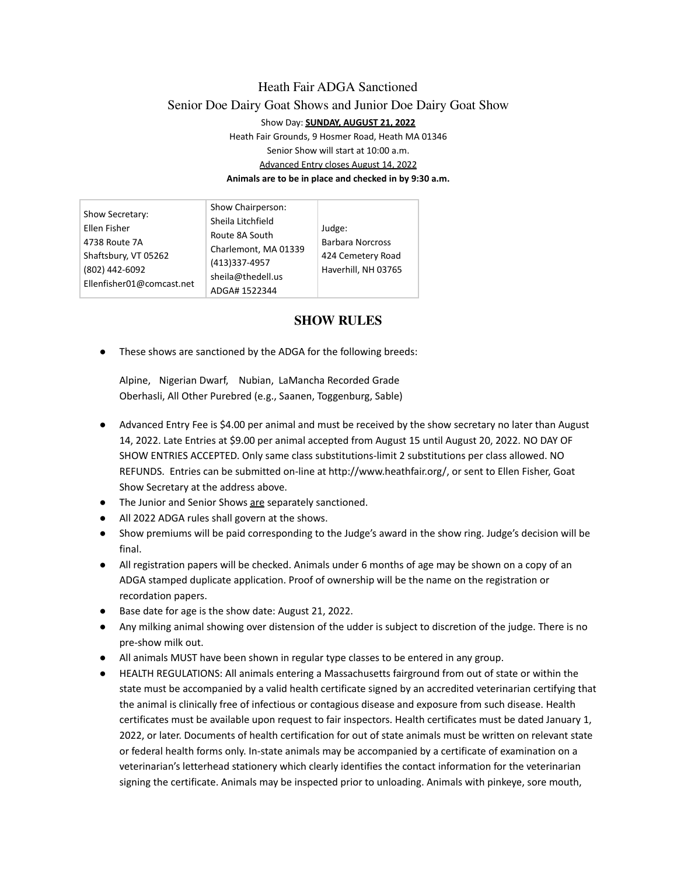# Heath Fair ADGA Sanctioned Senior Doe Dairy Goat Shows and Junior Doe Dairy Goat Show Show Day: **SUNDAY, AUGUST 21, 2022**

Heath Fair Grounds, 9 Hosmer Road, Heath MA 01346 Senior Show will start at 10:00 a.m. Advanced Entry closes August 14, 2022 **Animals are to be in place and checked in by 9:30 a.m.**

| Show Secretary:<br>Ellen Fisher<br>4738 Route 7A<br>Shaftsbury, VT 05262<br>(802) 442-6092 | Show Chairperson:<br>Sheila Litchfield<br>Route 8A South<br>Charlemont, MA 01339<br>(413)337-4957<br>sheila@thedell.us | Judge:<br><b>Barbara Norcross</b><br>424 Cemetery Road<br>Haverhill, NH 03765 |
|--------------------------------------------------------------------------------------------|------------------------------------------------------------------------------------------------------------------------|-------------------------------------------------------------------------------|
| Ellenfisher01@comcast.net                                                                  | ADGA# 1522344                                                                                                          |                                                                               |

## **SHOW RULES**

These shows are sanctioned by the ADGA for the following breeds:

Alpine, Nigerian Dwarf, Nubian, LaMancha Recorded Grade Oberhasli, All Other Purebred (e.g., Saanen, Toggenburg, Sable)

- Advanced Entry Fee is \$4.00 per animal and must be received by the show secretary no later than August 14, 2022. Late Entries at \$9.00 per animal accepted from August 15 until August 20, 2022. NO DAY OF SHOW ENTRIES ACCEPTED. Only same class substitutions-limit 2 substitutions per class allowed. NO REFUNDS. Entries can be submitted on-line at http://www.heathfair.org/, or sent to Ellen Fisher, Goat Show Secretary at the address above.
- The Junior and Senior Shows are separately sanctioned.
- All 2022 ADGA rules shall govern at the shows.
- Show premiums will be paid corresponding to the Judge's award in the show ring. Judge's decision will be final.
- All registration papers will be checked. Animals under 6 months of age may be shown on a copy of an ADGA stamped duplicate application. Proof of ownership will be the name on the registration or recordation papers.
- Base date for age is the show date: August 21, 2022.
- Any milking animal showing over distension of the udder is subject to discretion of the judge. There is no pre-show milk out.
- All animals MUST have been shown in regular type classes to be entered in any group.
- HEALTH REGULATIONS: All animals entering a Massachusetts fairground from out of state or within the state must be accompanied by a valid health certificate signed by an accredited veterinarian certifying that the animal is clinically free of infectious or contagious disease and exposure from such disease. Health certificates must be available upon request to fair inspectors. Health certificates must be dated January 1, 2022, or later. Documents of health certification for out of state animals must be written on relevant state or federal health forms only. In-state animals may be accompanied by a certificate of examination on a veterinarian's letterhead stationery which clearly identifies the contact information for the veterinarian signing the certificate. Animals may be inspected prior to unloading. Animals with pinkeye, sore mouth,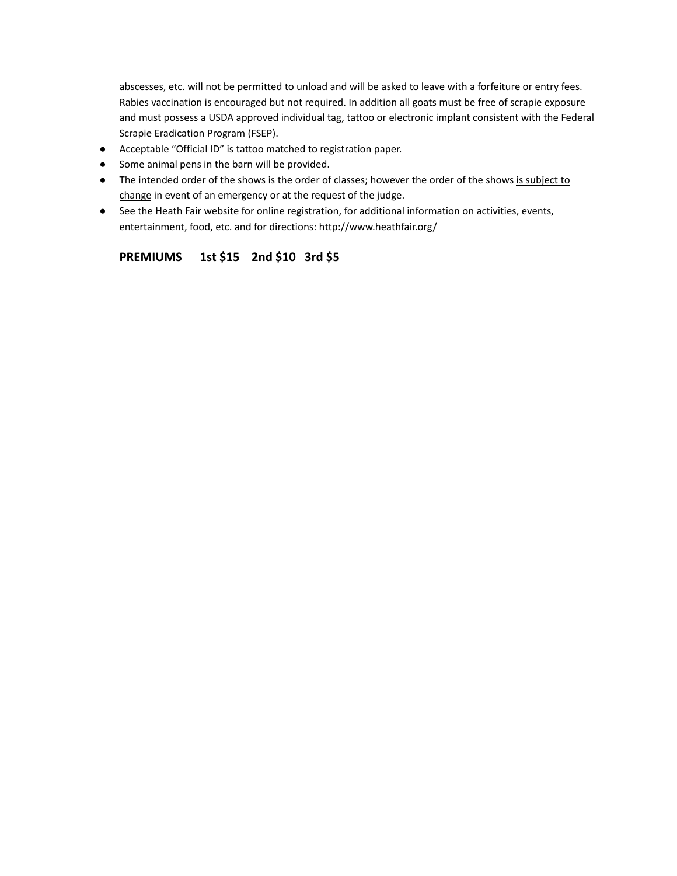abscesses, etc. will not be permitted to unload and will be asked to leave with a forfeiture or entry fees. Rabies vaccination is encouraged but not required. In addition all goats must be free of scrapie exposure and must possess a USDA approved individual tag, tattoo or electronic implant consistent with the Federal Scrapie Eradication Program (FSEP).

- Acceptable "Official ID" is tattoo matched to registration paper.
- Some animal pens in the barn will be provided.
- The intended order of the shows is the order of classes; however the order of the shows is subject to change in event of an emergency or at the request of the judge.
- See the Heath Fair website for online registration, for additional information on activities, events, entertainment, food, etc. and for directions: http://www.heathfair.org/

### **PREMIUMS 1st \$15 2nd \$10 3rd \$5**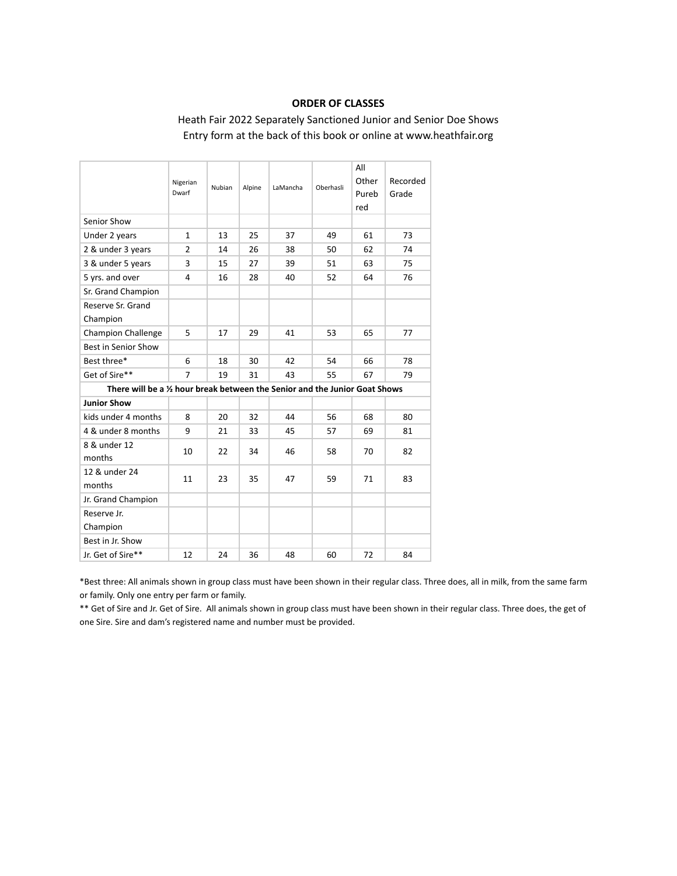### **ORDER OF CLASSES**

## Heath Fair 2022 Separately Sanctioned Junior and Senior Doe Shows Entry form at the back of this book or online at www.heathfair.org

|                                                                             | Nigerian<br>Dwarf | Nubian | Alpine | LaMancha | Oberhasli | All<br>Other<br>Pureb<br>red | Recorded<br>Grade |
|-----------------------------------------------------------------------------|-------------------|--------|--------|----------|-----------|------------------------------|-------------------|
| Senior Show                                                                 |                   |        |        |          |           |                              |                   |
| Under 2 years                                                               | $\mathbf{1}$      | 13     | 25     | 37       | 49        | 61                           | 73                |
| 2 & under 3 years                                                           | $\overline{2}$    | 14     | 26     | 38       | 50        | 62                           | 74                |
| 3 & under 5 years                                                           | 3                 | 15     | 27     | 39       | 51        | 63                           | 75                |
| 5 yrs. and over                                                             | 4                 | 16     | 28     | 40       | 52        | 64                           | 76                |
| Sr. Grand Champion                                                          |                   |        |        |          |           |                              |                   |
| Reserve Sr. Grand<br>Champion                                               |                   |        |        |          |           |                              |                   |
| <b>Champion Challenge</b>                                                   | 5                 | 17     | 29     | 41       | 53        | 65                           | 77                |
| Best in Senior Show                                                         |                   |        |        |          |           |                              |                   |
| Best three*                                                                 | 6                 | 18     | 30     | 42       | 54        | 66                           | 78                |
| Get of Sire**                                                               | 7                 | 19     | 31     | 43       | 55        | 67                           | 79                |
| There will be a 1/2 hour break between the Senior and the Junior Goat Shows |                   |        |        |          |           |                              |                   |
| <b>Junior Show</b>                                                          |                   |        |        |          |           |                              |                   |
| kids under 4 months                                                         | 8                 | 20     | 32     | 44       | 56        | 68                           | 80                |
| 4 & under 8 months                                                          | 9                 | 21     | 33     | 45       | 57        | 69                           | 81                |
| 8 & under 12<br>months                                                      | 10                | 22     | 34     | 46       | 58        | 70                           | 82                |
| 12 & under 24<br>months                                                     | 11                | 23     | 35     | 47       | 59        | 71                           | 83                |
| Jr. Grand Champion                                                          |                   |        |        |          |           |                              |                   |
| Reserve Jr.<br>Champion                                                     |                   |        |        |          |           |                              |                   |
| Best in Jr. Show                                                            |                   |        |        |          |           |                              |                   |
| Jr. Get of Sire**                                                           | 12                | 24     | 36     | 48       | 60        | 72                           | 84                |

\*Best three: All animals shown in group class must have been shown in their regular class. Three does, all in milk, from the same farm or family. Only one entry per farm or family.

\*\* Get of Sire and Jr. Get of Sire. All animals shown in group class must have been shown in their regular class. Three does, the get of one Sire. Sire and dam's registered name and number must be provided.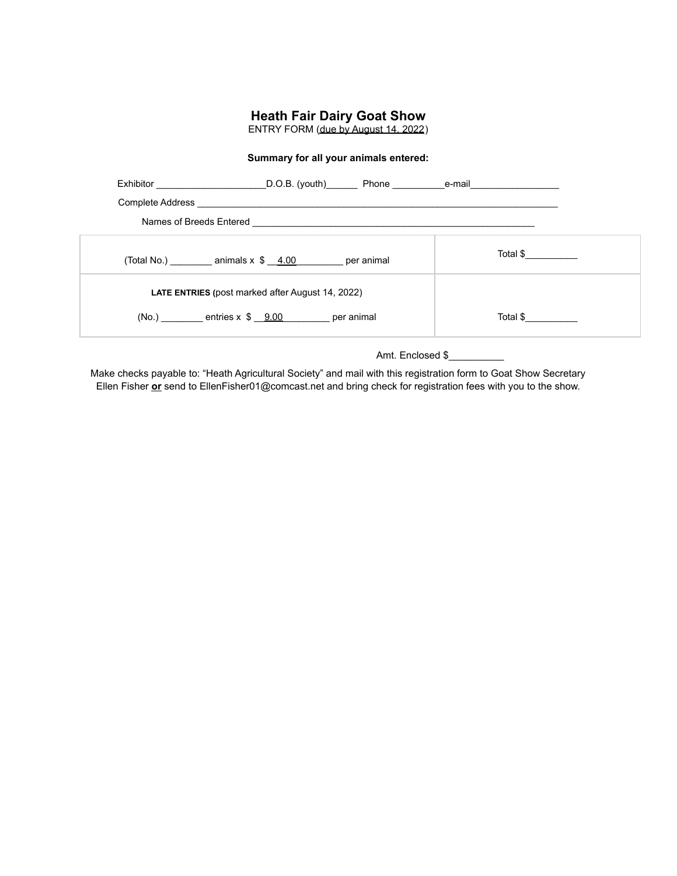## **Heath Fair Dairy Goat Show**

ENTRY FORM (due by August 14, 2022)

#### **Summary for all your animals entered:**

| Exhibitor D.O.B. (youth) Phone e-mail e-mail                    |  |          |  |
|-----------------------------------------------------------------|--|----------|--|
|                                                                 |  |          |  |
| Names of Breeds Entered <b>Names</b> of Breeds Entered          |  |          |  |
| (Total No.) ___________ animals $x$ $\frac{4.00}{1}$ per animal |  | Total \$ |  |
| <b>LATE ENTRIES</b> (post marked after August 14, 2022)         |  |          |  |
| $(No.)$ entries $x \, \hat{s} \, 9.00$ per animal               |  | Total \$ |  |

Amt. Enclosed \$

Make checks payable to: "Heath Agricultural Society" and mail with this registration form to Goat Show Secretary Ellen Fisher **or** send to EllenFisher01@comcast.net and bring check for registration fees with you to the show.